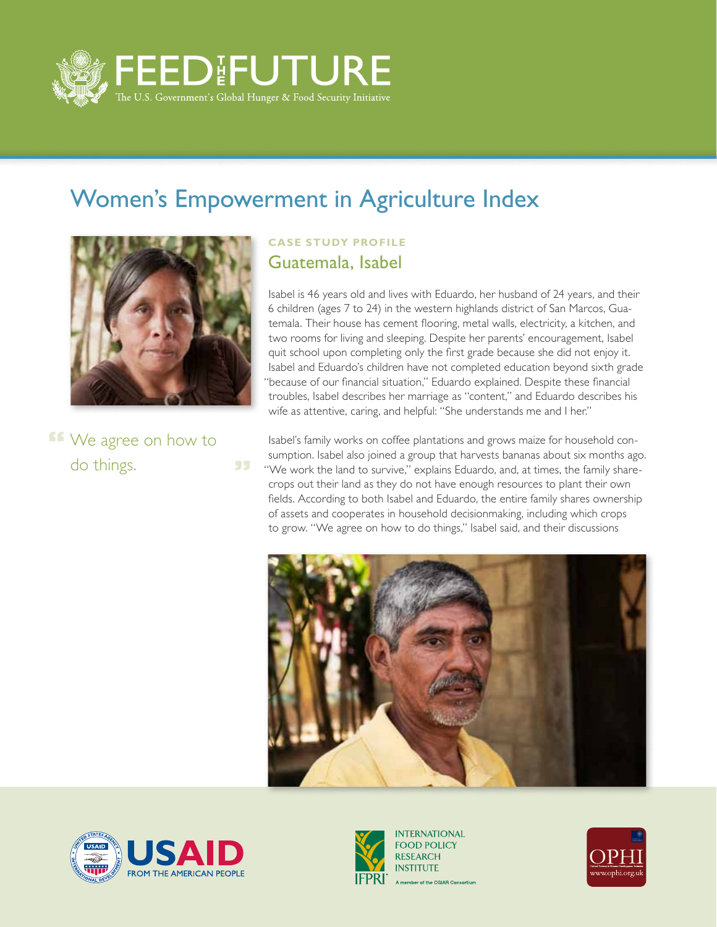

55

## Women's Empowerment in Agriculture Index



**If** We agree on how to do things.

## **CASE STUDY PROFILE** Guatemala, Isabel

Isabel is 46 years old and lives with Eduardo, her husband of 24 years, and their 6 children (ages 7 to 24) in the western highlands district of San Marcos, Guatemala. Their house has cement flooring, metal walls, electricity, a kitchen, and two rooms for living and sleeping. Despite her parents' encouragement, Isabel quit school upon completing only the first grade because she did not enjoy it. Isabel and Eduardo's children have not completed education beyond sixth grade "because of our financial situation," Eduardo explained. Despite these financial troubles, Isabel describes her marriage as "content," and Eduardo describes his wife as attentive, caring, and helpful: "She understands me and I her."

Isabel's family works on coffee plantations and grows maize for household consumption. Isabel also joined a group that harvests bananas about six months ago. "We work the land to survive," explains Eduardo, and, at times, the family sharecrops out their land as they do not have enough resources to plant their own fields. According to both Isabel and Eduardo, the entire family shares ownership of assets and cooperates in household decisionmaking, including which crops to grow. "We agree on how to do things," Isabel said, and their discussions







**INTERNATIONAL FOOD POLICY RESEARCH INSTITUTE** A member of the CGIAR Consortium